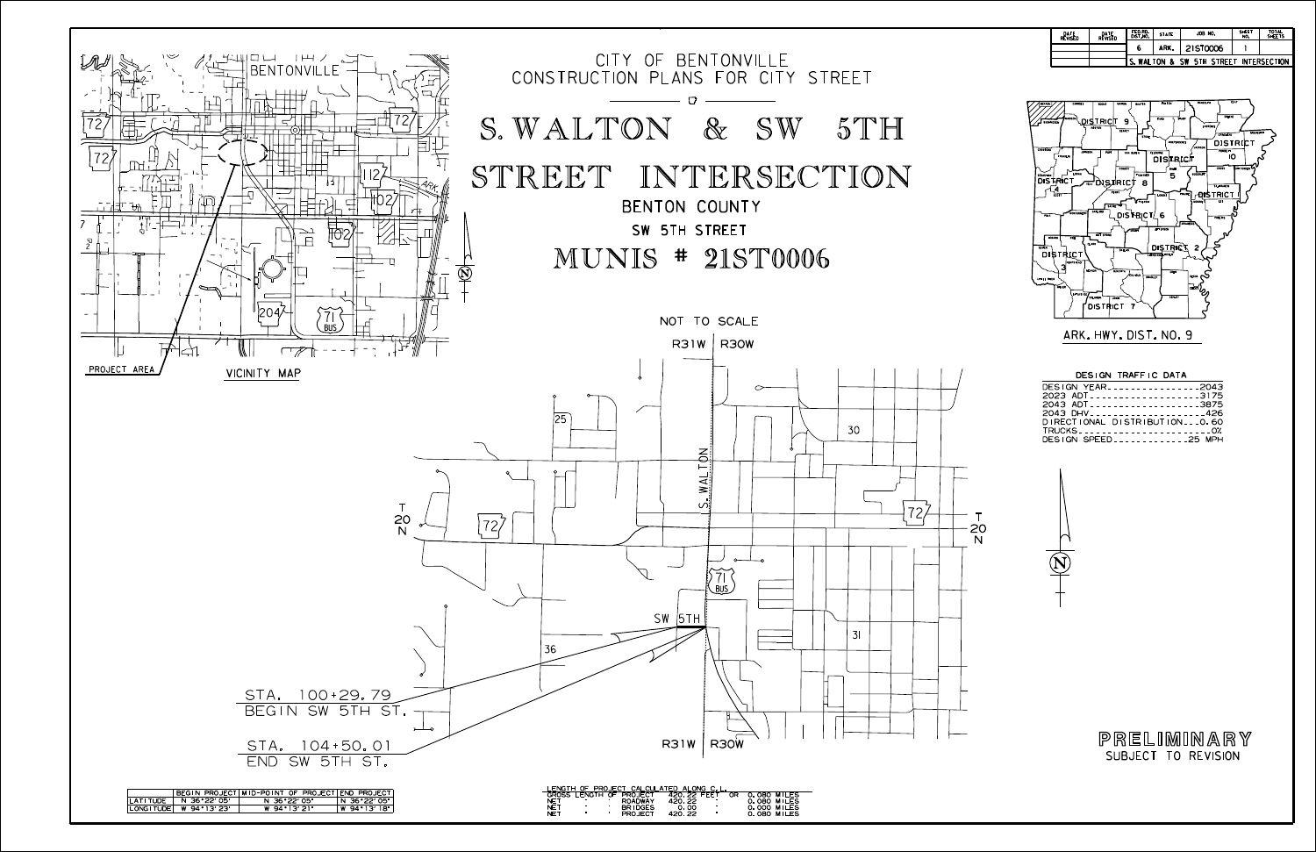





| DESIGN YEAR2043              |  |
|------------------------------|--|
| 2023 ADT3175                 |  |
| 2043 ADT3875                 |  |
| 2043 DHV426                  |  |
| DIRECTIONAL DISTRIBUTIONO.60 |  |
| TRUCKS0%                     |  |
| DESIGN SPEED25 MPH           |  |
|                              |  |

| DATE<br>REVISED | DATE<br>Revised | FED.RD.<br>DIST.NO.                    | <b>STATE</b> | JOB NO.  | <b>SHEET</b><br>NO. | <b>TOTAL</b><br>SHEETS |  |  |
|-----------------|-----------------|----------------------------------------|--------------|----------|---------------------|------------------------|--|--|
|                 |                 | 6                                      | ARK.         | 21ST0006 |                     |                        |  |  |
|                 |                 | S. WALTON & SW 5TH STREET INTERSECTION |              |          |                     |                        |  |  |

SUBJECT TO REVISION PRELIMINARY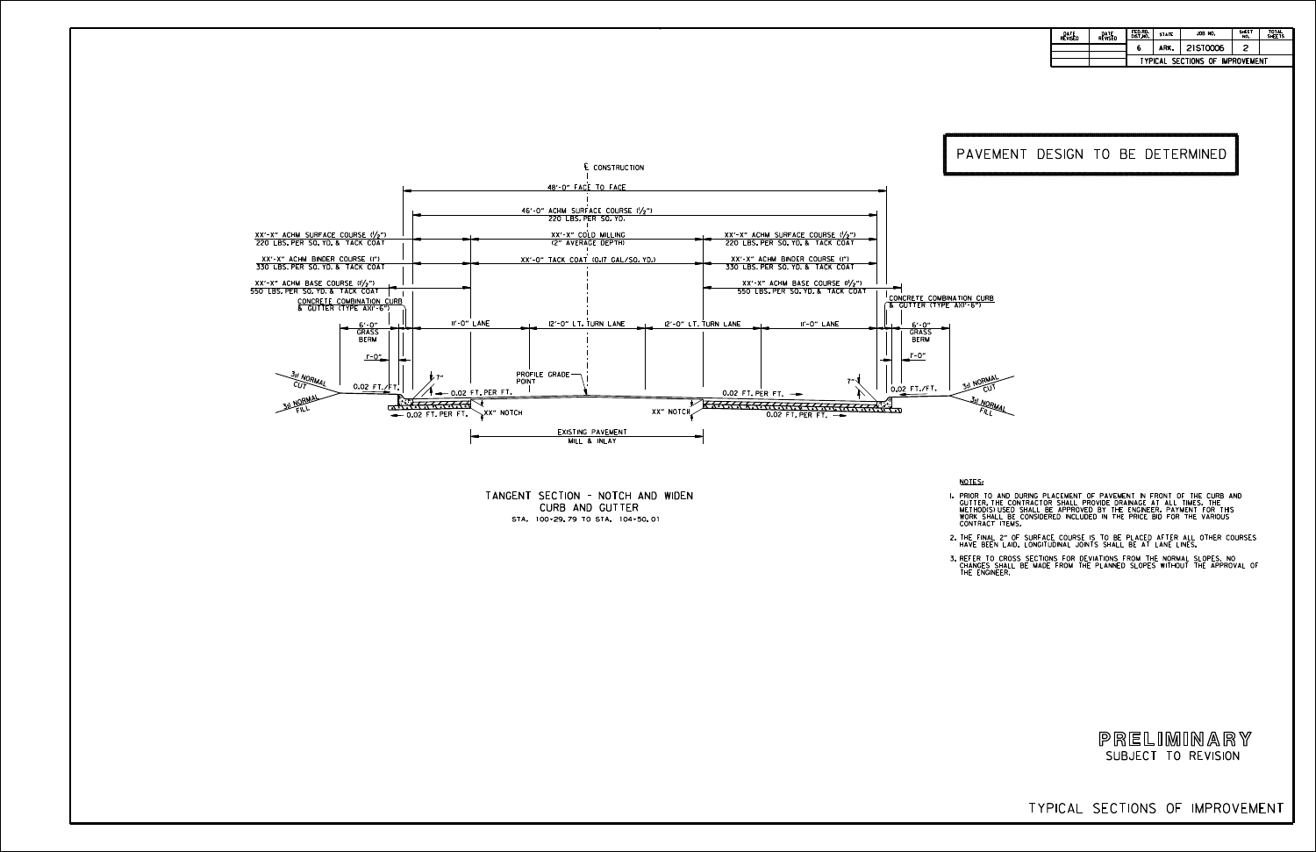TYPICAL SECTIONS OF IMPROVEMENT

NOTES:

L PRIOR TO AND DURING PLACEMENT OF PAVEMENT IN FRONT OF THE CURB AND<br>GUITER, THE CONTRACTOR SHALL PROVIDE DRAINAGE AT ALL TIMES. THE<br>METHODIS)USED SHALL BE APPROVED BY THE ENGINEER. PAYMENT FOR THIS<br>WORK SHALL BE CONSIDERE

2. THE FINAL 2" OF SURFACE COURSE IS TO BE PLACED AFTER ALL OTHER COURSES<br>. HAVE BEEN LAID. LONGITUDINAL JOINTS SHALL BE AT LANE LINES.

3.REFER TO CROSS SECTIONS FOR DEVIATIONS FROM THE NORMAL SLOPES. NO<br>CHANGES SHALL BE MADE FROM THE PLANNED SLOPES WITHOUT THE APPROVAL OF<br>THE ENGINEER.

CURB AND GUTTER TANGENT SECTION - NOTCH AND WIDEN STA. 100+29.79 TO STA. 104+50.01



| DATE<br>REVISED | DATE<br>REVISED | FED.RD.<br>DIST.NO.                    | <b>STATE</b> | JOB NO.  | <b>SHEET</b><br>NO. | <b>TOTAL</b><br><b>SHEETS</b> |  |  |  |  |
|-----------------|-----------------|----------------------------------------|--------------|----------|---------------------|-------------------------------|--|--|--|--|
|                 |                 | 6                                      | ARK.         | 21ST0006 |                     |                               |  |  |  |  |
|                 |                 | <b>TYPICAL SECTIONS OF IMPROVEMENT</b> |              |          |                     |                               |  |  |  |  |

## PAVEMENT DESIGN TO BE DETERMINED

**NORMAL** <sup>C</sup>U<sup>T</sup> 3:<sup>1</sup> NORMAL<br>FILL

SUBJECT TO REVISION PRELIMINARY